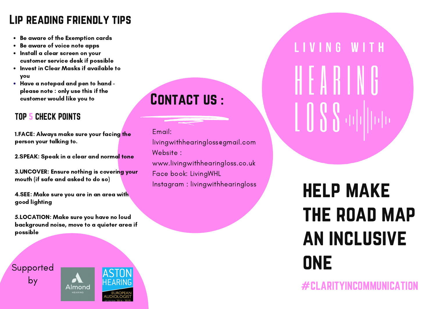## Lip reading friendly tips

- Be aware of the Exemption cards
- Be aware of voice note apps
- Install a clear screen on your customer service desk if possible
- Invest in Clear Masks if available to you
- Have a notepad and pen to hand please note : only use this if the customer would like you to

#### TOP 5 CHECK POINTS

1.FACE: Always make sure your facing the person your talking to.

2.SPEAK: Speak in a clear and normal tone

3.UNCOVER: Ensure nothing is covering your mouth (if safe and asked to do so)

4.SEE: Make sure you are in an area with good lighting

5.LOCATION: Make sure you have no loud background noise, move to a quieter area if possible

Supported by



# CONTACT US :

Email:

livingwithhearingloss@gmail.com Website : www.livingwithhearingloss.co.uk Face book: LivingWHL Instagram : livingwithhearingloss LIVING WITH

help make the road map an inclusive **ONE** 

 $#$ CLARITYINCOMMUNICA